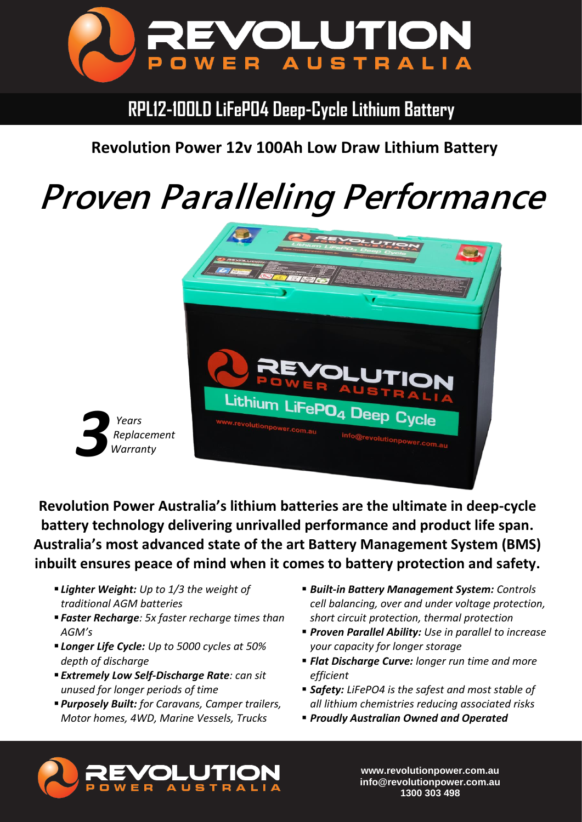

## **RPL12-100LD LiFePO4 Deep-Cycle Lithium Battery**

### **Revolution Power 12v 100Ah Low Draw Lithium Battery**

# *Proven Paralleling Performance*



**Revolution Power Australia's lithium batteries are the ultimate in deep-cycle battery technology delivering unrivalled performance and product life span. Australia's most advanced state of the art Battery Management System (BMS) inbuilt ensures peace of mind when it comes to battery protection and safety.**

▪ *Lighter Weight: Up to 1/3 the weight of traditional AGM batteries*

*3*

 *Years*

- *Faster Recharge: 5x faster recharge times than AGM's*
- *Longer Life Cycle: Up to 5000 cycles at 50% depth of discharge*
- *Extremely Low Self-Discharge Rate: can sit unused for longer periods of time*
- *Purposely Built: for Caravans, Camper trailers, Motor homes, 4WD, Marine Vessels, Trucks*
- *Built-in Battery Management System: Controls cell balancing, over and under voltage protection, short circuit protection, thermal protection*
- *Proven Parallel Ability: Use in parallel to increase your capacity for longer storage*
- *Flat Discharge Curve: longer run time and more efficient*
- **Safety:** LiFePO4 is the safest and most stable of *all lithium chemistries reducing associated risks*
- *Proudly Australian Owned and Operated*



**www.revolutionpower.com.au info@revolutionpower.com.au 1300 303 498**